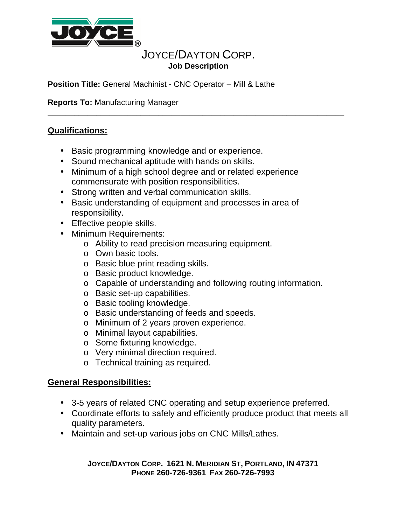

# JOYCE/DAYTON CORP. **Job Description**

**\_\_\_\_\_\_\_\_\_\_\_\_\_\_\_\_\_\_\_\_\_\_\_\_\_\_\_\_\_\_\_\_\_\_\_\_\_\_\_\_\_\_\_\_\_\_\_\_\_\_\_\_\_\_\_\_\_\_\_\_\_\_\_\_\_\_\_**

**Position Title:** General Machinist - CNC Operator – Mill & Lathe

**Reports To:** Manufacturing Manager

### **Qualifications:**

- Basic programming knowledge and or experience.
- Sound mechanical aptitude with hands on skills.
- Minimum of a high school degree and or related experience commensurate with position responsibilities.
- Strong written and verbal communication skills.
- Basic understanding of equipment and processes in area of responsibility.
- Effective people skills.
- Minimum Requirements:
	- o Ability to read precision measuring equipment.
	- o Own basic tools.
	- o Basic blue print reading skills.
	- o Basic product knowledge.
	- o Capable of understanding and following routing information.
	- o Basic set-up capabilities.
	- o Basic tooling knowledge.
	- o Basic understanding of feeds and speeds.
	- o Minimum of 2 years proven experience.
	- o Minimal layout capabilities.
	- o Some fixturing knowledge.
	- o Very minimal direction required.
	- o Technical training as required.

### **General Responsibilities:**

- 3-5 years of related CNC operating and setup experience preferred.
- Coordinate efforts to safely and efficiently produce product that meets all quality parameters.
- Maintain and set-up various jobs on CNC Mills/Lathes.

#### **JOYCE/DAYTON CORP. 1621 N. MERIDIAN ST, PORTLAND, IN 47371 PHONE 260-726-9361 FAX 260-726-7993**